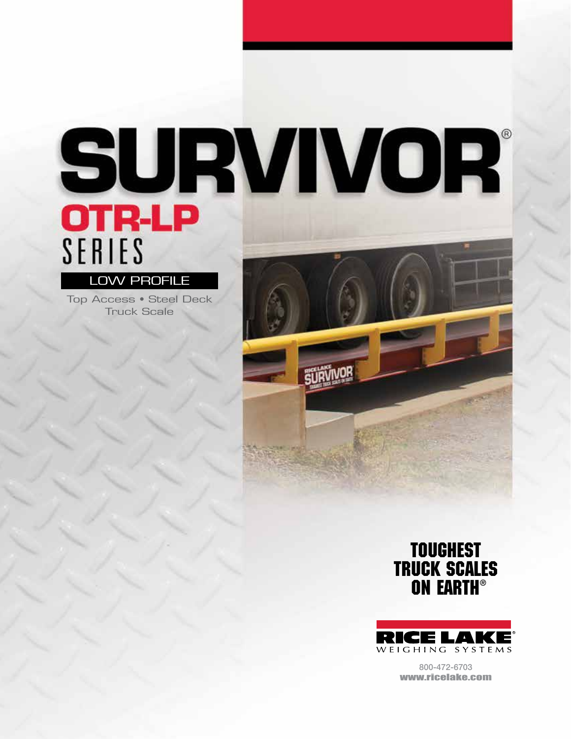# SURVIVOR OTR-LP SERIES LOW PROFILE

**SURVIVOR** 

Top Access • Steel Deck Truck Scale

> Toughest Truck Scales on Earth®



800-472-6703 www.ricelake.com